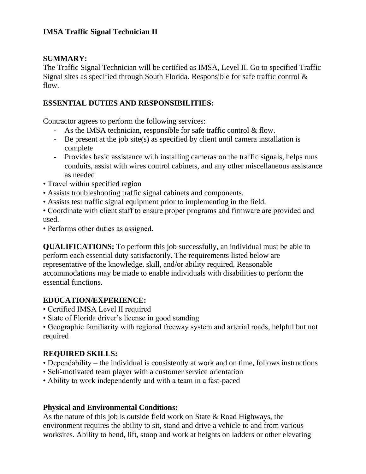#### **IMSA Traffic Signal Technician II**

#### **SUMMARY:**

The Traffic Signal Technician will be certified as IMSA, Level II. Go to specified Traffic Signal sites as specified through South Florida. Responsible for safe traffic control  $\&$ flow.

## **ESSENTIAL DUTIES AND RESPONSIBILITIES:**

Contractor agrees to perform the following services:

- As the IMSA technician, responsible for safe traffic control & flow.
- Be present at the job site(s) as specified by client until camera installation is complete
- Provides basic assistance with installing cameras on the traffic signals, helps runs conduits, assist with wires control cabinets, and any other miscellaneous assistance as needed
- Travel within specified region
- Assists troubleshooting traffic signal cabinets and components.
- Assists test traffic signal equipment prior to implementing in the field.
- Coordinate with client staff to ensure proper programs and firmware are provided and used.
- Performs other duties as assigned.

**QUALIFICATIONS:** To perform this job successfully, an individual must be able to perform each essential duty satisfactorily. The requirements listed below are representative of the knowledge, skill, and/or ability required. Reasonable accommodations may be made to enable individuals with disabilities to perform the essential functions.

## **EDUCATION/EXPERIENCE:**

- Certified IMSA Level II required
- State of Florida driver's license in good standing

• Geographic familiarity with regional freeway system and arterial roads, helpful but not required

## **REQUIRED SKILLS:**

- Dependability the individual is consistently at work and on time, follows instructions
- Self-motivated team player with a customer service orientation
- Ability to work independently and with a team in a fast-paced

## **Physical and Environmental Conditions:**

As the nature of this job is outside field work on State & Road Highways, the environment requires the ability to sit, stand and drive a vehicle to and from various worksites. Ability to bend, lift, stoop and work at heights on ladders or other elevating